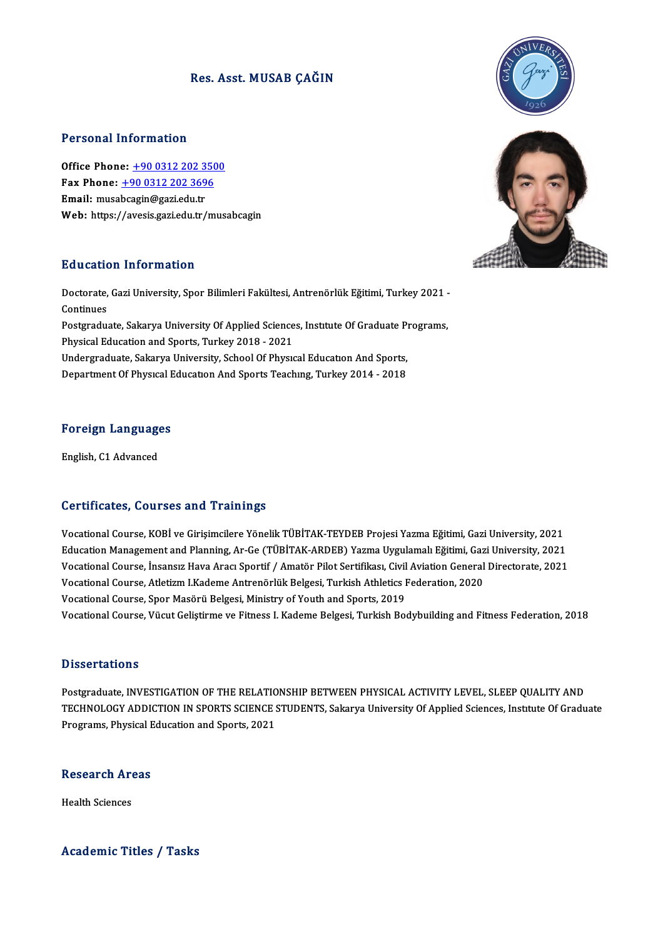### Res. Asst. MUSAB CAĞIN

### Personal Information

Office Phone: +90 0312 202 3500 1 0188141 11181 11181<br>Office Phone: <u>+90 0312 202 350</u><br>Fax Phone: <u>+90 0312 202 3696</u> Office Phone: <u>+90 0312 202 3</u><br>Fax Phone: <u>+90 0312 202 369</u><br>Email: musa[bcagin@gazi.edu.tr](tel:+90 0312 202 3696)<br>Web: https://avesis.gari.edu.tr Email: musabcagin@gazi.edu.tr<br>Web: https://avesis.gazi.edu.tr/musabcagin

### Education Information

**Education Information**<br>Doctorate, Gazi University, Spor Bilimleri Fakültesi, Antrenörlük Eğitimi, Turkey 2021 -<br>Continues Doctorate,<br>Continues<br>Postaredu Doctorate, Gazi University, Spor Bilimleri Fakültesi, Antrenörlük Eğitimi, Turkey 2021 -<br>Continues<br>Postgraduate, Sakarya University Of Applied Sciences, Institute Of Graduate Programs,<br>Physical Education and Sports, Turkey Continues<br>Postgraduate, Sakarya University Of Applied Sciences, Institute Of Graduate Programs,<br>Physical Education and Sports, Turkey 2018 - 2021 Postgraduate, Sakarya University Of Applied Sciences, Institute Of Graduate P<br>Physical Education and Sports, Turkey 2018 - 2021<br>Undergraduate, Sakarya University, School Of Physical Education And Sports,<br>Penartment Of Phys Physical Education and Sports, Turkey 2018 - 2021<br>Undergraduate, Sakarya University, School Of Physıcal Education And Sports,<br>Department Of Physical Education And Sports Teaching, Turkey 2014 - 2018

## .<br>Foreign Languages <mark>Foreign Languag</mark>e<br>English, C1 Advanced

# English, C1 Advanced<br>Certificates, Courses and Trainings

VocationalCourse,KOBİ veGirişimcilereYönelikTÜBİTAK-TEYDEBProjesiYazmaEğitimi,GaziUniversity,2021 Educational Course, KOBİ ve Girişimcilere Yönelik TÜBİTAK-TEYDEB Projesi Yazma Eğitimi, Gazi University, 2021<br>Education Management and Planning, Ar-Ge (TÜBİTAK-ARDEB) Yazma Uygulamalı Eğitimi, Gazi University, 2021<br>Vesatio Vocational Course, KOBİ ve Girişimcilere Yönelik TÜBİTAK-TEYDEB Projesi Yazma Eğitimi, Gazi University, 2021<br>Education Management and Planning, Ar-Ge (TÜBİTAK-ARDEB) Yazma Uygulamalı Eğitimi, Gazi University, 2021<br>Vocation Education Management and Planning, Ar-Ge (TÜBİTAK-ARDEB) Yazma Uygulamalı Eğitimi, Gaz<br>Vocational Course, İnsansız Hava Aracı Sportif / Amatör Pilot Sertifikası, Civil Aviation General<br>Vocational Course, Atletizm I.Kademe Vocational Course, İnsansız Hava Aracı Sportif / Amatör Pilot Sertifikası, Civil<br>Vocational Course, Atletizm I.Kademe Antrenörlük Belgesi, Turkish Athletics I<br>Vocational Course, Spor Masörü Belgesi, Ministry of Youth and S Vocational Course, Atletizm I.Kademe Antrenörlük Belgesi, Turkish Athletics Federation, 2020<br>Vocational Course, Spor Masörü Belgesi, Ministry of Youth and Sports, 2019<br>Vocational Course, Vücut Geliştirme ve Fitness I. Kade

#### **Dissertations**

Postgraduate, INVESTIGATION OF THE RELATIONSHIP BETWEEN PHYSICAL ACTIVITY LEVEL, SLEEP OUALITY AND D'ISSOT CATIONS<br>Postgraduate, INVESTIGATION OF THE RELATIONSHIP BETWEEN PHYSICAL ACTIVITY LEVEL, SLEEP QUALITY AND<br>TECHNOLOGY ADDICTION IN SPORTS SCIENCE STUDENTS, Sakarya University Of Applied Sciences, Institute Of Gradu Postgraduate, INVESTIGATION OF THE RELATIO<br>TECHNOLOGY ADDICTION IN SPORTS SCIENCE !<br>Programs, Physical Education and Sports, 2021

## Programs, Physical E<br>Research Areas R<mark>esearch Ar</mark><br>Health Sciences

# Academic Titles / Tasks